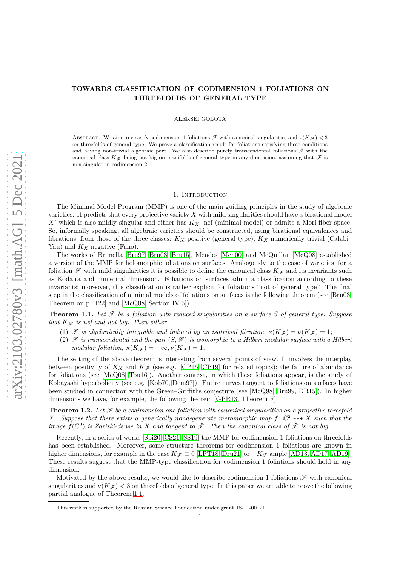# **TOWARDS CLASSIFICATION OF CODIMENSION 1 FOLIATIONS ON THREEFOLDS OF GENERAL TYPE**

ALEKSEI GOLOTA

ABSTRACT. We aim to classify codimension 1 foliations  $\mathscr F$  with canonical singularities and  $\nu(K_{\mathscr F})$  < 3 on threefolds of general type. We prove a classification result for foliations satisfying these conditions and having non-trivial algebraic part. We also describe purely transcendental foliations  $\mathscr F$  with the canonical class  $K_{\mathscr{F}}$  being not big on manifolds of general type in any dimension, assuming that  $\mathscr{F}$  is non-singular in codimension 2.

### 1. INTRODUCTION

The Minimal Model Program (MMP) is one of the main guiding principles in the study of algebraic varieties. It predicts that every projective variety *X* with mild singularities should have a birational model *X*<sup> $\prime$ </sup> which is also mildly singular and either has  $K_{X}$ <sup> $\prime$ </sup> nef (minimal model) or admits a Mori fiber space. So, informally speaking, all algebraic varieties should be constructed, using birational equivalences and fibrations, from those of the three classes: *K<sup>X</sup>* positive (general type), *K<sup>X</sup>* numerically trivial (Calabi– Yau) and *K<sup>X</sup>* negative (Fano).

The works of Brunella [\[Bru97,](#page-11-0) [Bru03,](#page-11-1) [Bru15\]](#page-11-2), Mendes [\[Men00\]](#page-12-0) and McQuillan [\[McQ08\]](#page-12-1) established a version of the MMP for holomorphic foliations on surfaces. Analogously to the case of varieties, for a foliation  $\mathscr F$  with mild singularities it is possible to define the canonical class  $K_{\mathscr F}$  and its invariants such as Kodaira and numerical dimension. Foliations on surfaces admit a classification according to these invariants; moreover, this classification is rather explicit for foliations "not of general type". The final step in the classification of minimal models of foliations on surfaces is the following theorem (see [\[Bru03,](#page-11-1) Theorem on p. 122] and [\[McQ08,](#page-12-1) Section IV.5]).

<span id="page-0-0"></span>**Theorem 1.1.** Let  $\mathcal F$  be a foliation with reduced singularities on a surface  $S$  of general type. Suppose *that*  $K_{\mathscr{F}}$  *is nef and not big. Then either* 

- (1)  $\mathscr F$  *is algebraically integrable and induced by an isotrivial fibration,*  $\kappa(K_{\mathscr F}) = \nu(K_{\mathscr F}) = 1$ ;
- (2)  $\mathscr F$  *is transcendental and the pair*  $(S, \mathscr F)$  *is isomorphic to a Hilbert modular surface with a Hilbert modular foliation,*  $\kappa(K_{\mathscr{F}}) = -\infty$ ,  $\nu(K_{\mathscr{F}}) = 1$ .

The setting of the above theorem is interesting from several points of view. It involves the interplay between positivity of  $K_X$  and  $K_{\mathscr{F}}$  (see e.g. [\[CP15,](#page-11-3) [CP19\]](#page-11-4) for related topics); the failure of abundance for foliations (see [\[McQ08,](#page-12-1) [Tou16\]](#page-12-2)). Another context, in which these foliations appear, is the study of Kobayashi hyperbolicity (see e.g. [\[Kob70,](#page-12-3) [Dem97\]](#page-11-5)). Entire curves tangent to foliations on surfaces have been studied in connection with the Green–Griffiths conjecture (see [\[McQ98,](#page-12-4) [Bru99,](#page-11-6) [DR15\]](#page-11-7)). In higher dimensions we have, for example, the following theorem [\[GPR13,](#page-12-5) Theorem F].

**Theorem 1.2.** Let  $\mathcal F$  be a codimension one foliation with canonical singularities on a projective threefold *X.* Suppose that there exists a generically nondegenerate meromorphic map  $f: \mathbb{C}^2 \dashrightarrow X$  such that the *image*  $f(\mathbb{C}^2)$  *is Zariski-dense in X and tangent to*  $\mathscr F$ *. Then the canonical class of*  $\mathscr F$  *is not big.* 

Recently, in a series of works [\[Spi20,](#page-12-6) [CS21,](#page-11-8) [SS19\]](#page-12-7) the MMP for codimension 1 foliations on threefolds has been established. Moreover, some structure theorems for codimension 1 foliations are known in higher dimensions, for example in the case  $K_{\mathscr{F}} \equiv 0$  [\[LPT18,](#page-12-8) [Dru21\]](#page-11-9) or  $-K_{\mathscr{F}}$  ample [\[AD13,](#page-11-10) [AD17,](#page-11-11) [AD19\]](#page-11-12). These results suggest that the MMP-type classification for codimension 1 foliations should hold in any dimension.

Motivated by the above results, we would like to describe codimension 1 foliations  $\mathscr F$  with canonical singularities and  $\nu(K_{\mathscr{F}})$  < 3 on threefolds of general type. In this paper we are able to prove the following partial analogue of Theorem [1.1.](#page-0-0)

This work is supported by the Russian Science Foundation under grant 18-11-00121.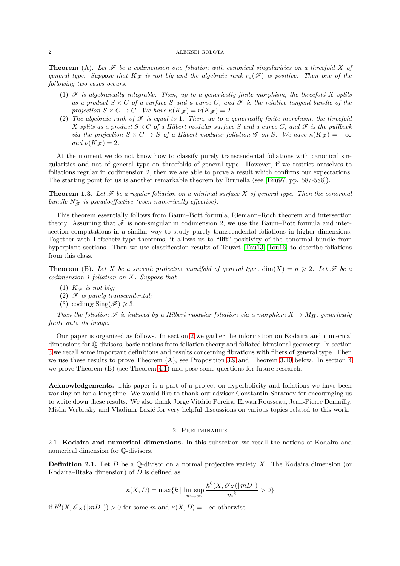**Theorem** (A). Let  $\mathcal F$  be a codimension one foliation with canonical singularities on a threefold X of *general type. Suppose that*  $K_{\mathscr{F}}$  *is not big and the algebraic rank*  $r_a(\mathscr{F})$  *is positive. Then one of the following two cases occurs.*

- (1)  $\mathscr F$  *is algebraically integrable. Then, up to a generically finite morphism, the threefold*  $X$  *splits* as a product  $S \times C$  of a surface S and a curve C, and  $\mathscr F$  is the relative tangent bundle of the *projection*  $S \times C \rightarrow C$ *. We have*  $\kappa(K_{\mathscr{F}}) = \nu(K_{\mathscr{F}}) = 2$ *.*
- (2) The algebraic rank of  $\mathscr F$  is equal to 1. Then, up to a generically finite morphism, the threefold *X splits as a product*  $S \times C$  *of a Hilbert modular surface S and a curve C, and*  $\mathscr F$  *is the pullback via the projection*  $S \times C \rightarrow S$  *of a Hilbert modular foliation* G *on S. We have*  $\kappa(K_{\mathscr{F}}) = -\infty$ *and*  $\nu(K_{\mathscr{F}}) = 2$ *.*

At the moment we do not know how to classify purely transcendental foliations with canonical singularities and not of general type on threefolds of general type. However, if we restrict ourselves to foliations regular in codimension 2, then we are able to prove a result which confirms our expectations. The starting point for us is another remarkable theorem by Brunella (see [\[Bru97,](#page-11-0) pp. 587-588]).

**Theorem 1.3.** Let  $\mathcal F$  be a regular foliation on a minimal surface X of general type. Then the conormal *bundle*  $N^*_{\mathscr{F}}$  *is pseudoeffective (even numerically effective).* 

This theorem essentially follows from Baum–Bott formula, Riemann–Roch theorem and intersection theory. Assuming that  $\mathscr F$  is non-singular in codimension 2, we use the Baum–Bott formula and intersection computations in a similar way to study purely transcendental foliations in higher dimensions. Together with Lefschetz-type theorems, it allows us to "lift" positivity of the conormal bundle from hyperplane sections. Then we use classification results of Touzet [\[Tou13,](#page-12-9) [Tou16\]](#page-12-2) to describe foliations from this class.

**Theorem** (B). Let *X* be a smooth projective manifold of general type,  $\dim(X) = n \geq 2$ . Let  $\mathcal F$  be a *codimension 1 foliation on X. Suppose that*

- (1)  $K_{\mathscr{F}}$  *is not big*;
- (2) F *is purely transcendental;*
- (3) codim<sub>*X*</sub> Sing( $\mathscr{F}$ )  $\geqslant$  3*.*

*Then the foliation*  $\mathscr F$  *is induced by a Hilbert modular foliation via a morphism*  $X \to M_H$ *, generically finite onto its image.*

Our paper is organized as follows. In section [2](#page-1-0) we gather the information on Kodaira and numerical dimensions for Q-divisors, basic notions from foliation theory and foliated birational geometry. In section [3](#page-5-0) we recall some important definitions and results concerning fibrations with fibers of general type. Then we use these results to prove Theorem (A), see Proposition [3.9](#page-7-0) and Theorem [3.10](#page-7-1) below. In section [4](#page-9-0) we prove Theorem (B) (see Theorem [4.1\)](#page-9-1) and pose some questions for future research.

**Acknowledgements.** This paper is a part of a project on hyperbolicity and foliations we have been working on for a long time. We would like to thank our advisor Constantin Shramov for encouraging us to write down these results. We also thank Jorge Vitório Pereira, Erwan Rousseau, Jean-Pierre Demailly, Misha Verbitsky and Vladimir Lazić for very helpful discussions on various topics related to this work.

## 2. Preliminaries

<span id="page-1-0"></span>2.1. **Kodaira and numerical dimensions.** In this subsection we recall the notions of Kodaira and numerical dimension for Q-divisors.

**Definition 2.1.** Let *D* be a Q-divisor on a normal projective variety *X*. The Kodaira dimension (or Kodaira–Iitaka dimension) of *D* is defined as

$$
\kappa(X,D)=\max\{k\mid \limsup_{m\to\infty}\frac{h^0(X,\mathscr{O}_X(\lfloor mD\rfloor)}{m^k}>0\}
$$

if  $h^0(X, \mathscr{O}_X(\lfloor mD \rfloor)) > 0$  for some *m* and  $\kappa(X, D) = -\infty$  otherwise.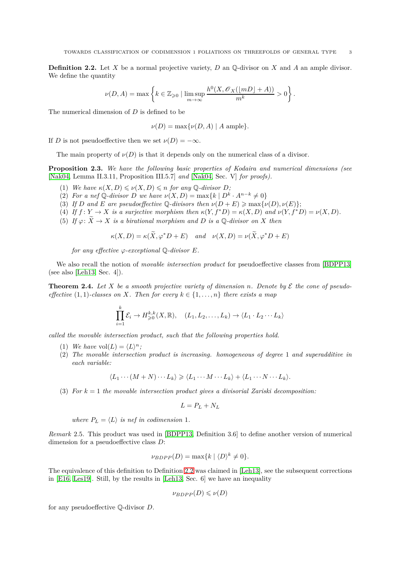*.*

<span id="page-2-0"></span>**Definition 2.2.** Let *X* be a normal projective variety, *D* an Q-divisor on *X* and *A* an ample divisor. We define the quantity

$$
\nu(D,A)=\max\left\{k\in\mathbb{Z}_{\geqslant0}\mid \limsup_{m\to\infty}\frac{h^0(X,\mathscr{O}_X(\lfloor mD\rfloor A))}{m^k}>0\right\}
$$

The numerical dimension of *D* is defined to be

$$
\nu(D) = \max \{ \nu(D, A) \mid A \text{ ample} \}.
$$

If *D* is not pseudoeffective then we set  $\nu(D) = -\infty$ .

The main property of  $\nu(D)$  is that it depends only on the numerical class of a divisor.

<span id="page-2-1"></span>**Proposition 2.3.** *We have the following basic properties of Kodaira and numerical dimensions (see* [\[Nak04,](#page-12-10) Lemma II.3.11, Proposition III.5.7] *and* [\[Nak04,](#page-12-10) Sec. V] *for proofs).*

- (1) We have  $\kappa(X, D) \leq \nu(X, D) \leq n$  for any  $\mathbb{Q}$ -divisor  $D$ ;
- (2) *For a nef*  $\mathbb{Q}$ -divisor *D* we have  $\nu(X, D) = \max\{k \mid D^k \cdot A^{n-k} \neq 0\}$
- (3) *If D* and *E* are pseudoeffective  $\mathbb{Q}$ -divisors then  $\nu(D+E) \ge \max{\nu(D), \nu(E)}$ ;
- (4) If  $f: Y \to X$  is a surjective morphism then  $\kappa(Y, f^*D) = \kappa(X, D)$  and  $\nu(Y, f^*D) = \nu(X, D)$ .
- (5) If  $\varphi: \widetilde{X} \to X$  *is a birational morphism and D is a*  $\mathbb{Q}$ -divisor on *X* then

$$
\kappa(X, D) = \kappa(\tilde{X}, \varphi^* D + E) \quad and \quad \nu(X, D) = \nu(\tilde{X}, \varphi^* D + E)
$$

*for any effective*  $\varphi$ -exceptional  $\mathbb{Q}$ -divisor  $E$ .

We also recall the notion of *movable intersection product* for pseudoeffective classes from [\[BDPP13\]](#page-11-13) (see also [\[Leh13,](#page-12-11) Sec. 4]).

<span id="page-2-2"></span>**Theorem 2.4.** Let *X* be a smooth projective variety of dimension *n*. Denote by  $\mathcal{E}$  the cone of pseudo*effective* (1, 1)*-classes on X. Then for every*  $k \in \{1, \ldots, n\}$  *there exists a map* 

$$
\prod_{i=1}^k \mathcal{E}_i \to H^{k,k}_{\geqslant 0}(X,\mathbb{R}), \quad (L_1, L_2, \ldots, L_k) \to \langle L_1 \cdot L_2 \cdots L_k \rangle
$$

*called the movable intersection product, such that the following properties hold.*

- (1) We have  $vol(L) = \langle L \rangle^n$ ;
- (2) *The movable intersection product is increasing. homogeneous of degree* 1 *and superadditive in each variable:*

$$
\langle L_1 \cdots (M+N) \cdots L_k \rangle \geq \langle L_1 \cdots M \cdots L_k \rangle + \langle L_1 \cdots N \cdots L_k \rangle
$$

(3) *For k* = 1 *the movable intersection product gives a divisorial Zariski decomposition:*

$$
L=P_L+N_L
$$

*where*  $P_L = \langle L \rangle$  *is nef in codimension* 1*.* 

*Remark* 2.5*.* This product was used in [\[BDPP13,](#page-11-13) Definition 3.6] to define another version of numerical dimension for a pseudoeffective class *D*:

$$
\nu_{BDPP}(D) = \max\{k \mid \langle D \rangle^k \neq 0\}.
$$

The equivalence of this definition to Definition [2.2](#page-2-0) was claimed in [\[Leh13\]](#page-12-11), see the subsequent corrections in [\[E16,](#page-11-14) [Les19\]](#page-12-12). Still, by the results in [\[Leh13,](#page-12-11) Sec. 6] we have an inequality

$$
\nu_{BDPP}(D) \leq \nu(D)
$$

for any pseudoeffective Q-divisor *D*.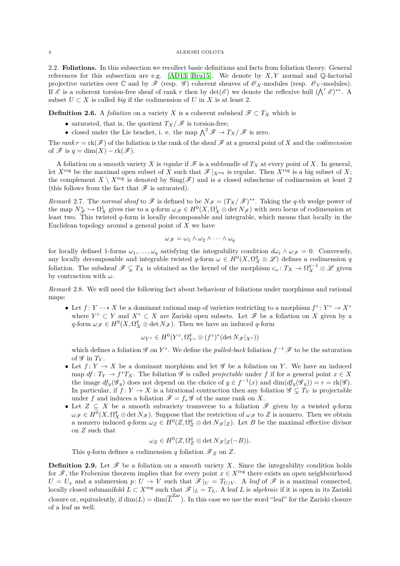2.2. **Foliations.** In this subsection we recollect basic definitions and facts from foliation theory. General references for this subsection are e.g. [\[AD13,](#page-11-10) [Bru15\]](#page-11-2). We denote by *X, Y* normal and Q-factorial projective varieties over  $\mathbb C$  and by  $\mathscr F$  (resp.  $\mathscr G$ ) coherent sheaves of  $\mathscr O_X$ -modules (resp.  $\mathscr O_Y$ -modules). If  $\mathscr E$  is a coherent torsion-free sheaf of rank *r* then by  $\det(\mathscr E)$  we denote the reflexive hull  $(\bigwedge^r \mathscr E)^{**}$ . A subset  $U \subset X$  is called *big* if the codimension of *U* in *X* is at least 2.

**Definition 2.6.** A *foliation* on a variety *X* is a coherent subsheaf  $\mathscr{F} \subset T_X$  which is

- saturated, that is, the quotient  $T_X/\mathscr{F}$  is torsion-free;
- closed under the Lie bracket, i. e. the map  $\bigwedge^2 \mathscr{F} \to T_X/\mathscr{F}$  is zero.

The rank  $r = \text{rk}(\mathcal{F})$  of the foliation is the rank of the sheaf  $\mathcal F$  at a general point of X and the *codimension* of  $\mathscr{F}$  is  $q = \dim(X) - \text{rk}(\mathscr{F})$ .

A foliation on a smooth variety *X* is *regular* if  $\mathscr F$  is a subbundle of  $T_X$  at every point of *X*. In general, let  $X^{\text{reg}}$  be the maximal open subset of *X* such that  $\mathscr{F}|_{X^{\text{reg}}}$  is regular. Then  $X^{\text{reg}}$  is a big subset of *X*; the complement  $X \setminus X^{\text{reg}}$  is denoted by  $\text{Sing}(\mathscr{F})$  and is a closed subscheme of codimension at least 2 (this follows from the fact that  $\mathscr F$  is saturated).

*Remark* 2.7. The *normal sheaf* to  $\mathscr F$  is defined to be  $N_{\mathscr F} = (T_X/\mathscr F)^{**}$ . Taking the *q*-th wedge power of the map  $N^*_{\mathscr{F}} \hookrightarrow \Omega^1_X$  gives rise to a *q*-form  $\omega_{\mathscr{F}} \in H^0(X, \Omega^1_X \otimes \det N_{\mathscr{F}})$  with zero locus of codimension at least two. This twisted *q*-form is locally decomposable and integrable, which means that locally in the Euclidean topology around a general point of *X* we have

$$
\omega_{\mathscr{F}} = \omega_1 \wedge \omega_2 \wedge \cdots \wedge \omega_q
$$

for locally defined 1-forms  $\omega_1, \ldots, \omega_q$  satisfying the integrability condition  $d\omega_i \wedge \omega_{\mathscr{F}} = 0$ . Conversely, any locally decomposable and integrable twisted  $q$ -form  $\omega \in H^0(X, \Omega_X^q \otimes \mathscr{L})$  defines a codimension  $q$ foliation. The subsheaf  $\mathscr{F} \subsetneq T_X$  is obtained as the kernel of the morphism  $c_\omega \colon T_X \to \Omega_X^{q-1} \otimes \mathscr{L}$  given by contraction with *ω*.

<span id="page-3-0"></span>*Remark* 2.8*.* We will need the following fact about behaviour of foliations under morphisms and rational maps:

• Let  $f: Y \dashrightarrow X$  be a dominant rational map of varieties restricting to a morphism  $f^{\circ}: Y^{\circ} \to X^{\circ}$ where  $Y^{\circ} \subset Y$  and  $X^{\circ} \subset X$  are Zariski open subsets. Let  $\mathscr{F}$  be a foliation on X given by a *q*-form  $\omega_{\mathscr{F}} \in H^0(X, \Omega_X^q \otimes \det N_{\mathscr{F}})$ . Then we have an induced *q*-form

$$
\omega_{Y^{\circ}} \in H^{0}(Y^{\circ}, \Omega^{q}_{Y^{\circ}} \otimes (f^{\circ})^{*}(\det N_{\mathscr{F}}|_{X^{\circ}}))
$$

which defines a foliation  $\mathscr G$  on  $Y^{\circ}$ . We define the *pulled-back* foliation  $f^{-1}\mathscr F$  to be the saturation of  $\mathscr G$  in  $T_Y$ .

- Let  $f: Y \to X$  be a dominant morphism and let  $\mathscr G$  be a foliation on *Y*. We have an induced map *df* :  $T_Y \to f^*T_X$ . The foliation  $\mathscr G$  is called *projectable* under *f* if for a general point  $x \in X$ the image  $df_y(\mathscr{G}_y)$  does not depend on the choice of  $y \in f^{-1}(x)$  and  $\dim(df_y(\mathscr{G}_y)) = r = \text{rk}(\mathscr{G})$ . In particular, if  $f: Y \to X$  is a birational contraction then any foliation  $\mathscr{G} \subsetneq T_Y$  is projectable under *f* and induces a foliation  $\mathscr{F} = f_* \mathscr{G}$  of the same rank on *X*.
- Let  $Z \subseteq X$  be a smooth subvariety transverse to a foliation  $\mathscr{F}$  given by a twisted q-form  $\omega_{\mathscr{F}} \in H^0(X, \Omega_X^q \otimes \det N_{\mathscr{F}})$ . Suppose that the restriction of  $\omega_{\mathscr{F}}$  to *Z* is nonzero. Then we obtain a nonzero induced  $q$ -form  $\omega_Z \in H^0(Z, \Omega_Z^q \otimes \det N_{\mathscr{F}}|_Z)$ . Let *B* be the maximal effective divisor on *Z* such that

$$
\omega_Z \in H^0(Z, \Omega_Z^q \otimes \det N_{\mathscr{F}}|_Z(-B)).
$$

This *q*-form defines a codimension *q* foliation  $\mathscr{F}_Z$  on *Z*.

**Definition 2.9.** Let  $\mathcal F$  be a foliation on a smooth variety *X*. Since the integrability condition holds for  $\mathscr{F}$ , the Frobenius theorem implies that for every point  $x \in X^{\text{reg}}$  there exists an open neighbourhood  $U = U_x$  and a submersion  $p: U \to V$  such that  $\mathscr{F}|_U = T_{U/V}$ . A *leaf* of  $\mathscr{F}$  is a maximal connected, locally closed submanifold  $L \subset X^{\text{reg}}$  such that  $\mathscr{F}|_L = T_L$ . A leaf *L* is *algebraic* if it is open in its Zariski closure or, equivalently, if  $dim(L) = dim(\overline{L}^{\text{Zar}})$ . In this case we use the word "leaf" for the Zariski closure of a leaf as well.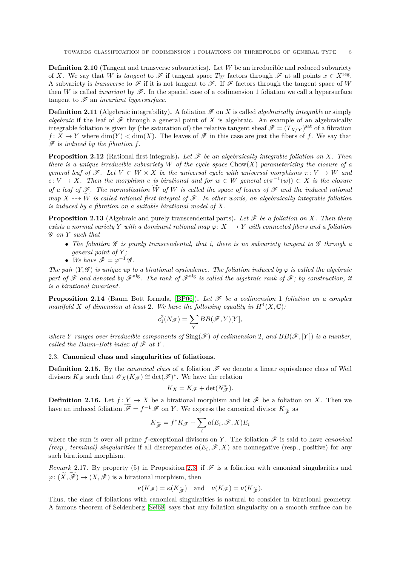**Definition 2.10** (Tangent and transverse subvarieties). Let *W* be an irreducible and reduced subvariety of *X*. We say that *W* is *tangent* to  $\mathscr F$  if tangent space  $T_W$  factors through  $\mathscr F$  at all points  $x \in X^{\text{reg}}$ . A subvariety is *transverse* to  $\mathscr F$  if it is not tangent to  $\mathscr F$ . If  $\mathscr F$  factors through the tangent space of W then *W* is called *invariant* by  $\mathscr F$ . In the special case of a codimension 1 foliation we call a hypersurface tangent to F an *invariant hypersurface*.

**Definition 2.11** (Algebraic integrability). A foliation  $\mathscr{F}$  on *X* is called *algebraically integrable* or simply *algebraic* if the leaf of  $\mathscr F$  through a general point of X is algebraic. An example of an algebraically integrable foliation is given by (the saturation of) the relative tangent sheaf  $\mathscr{F} = (T_{X/Y})^{\text{sat}}$  of a fibration  $f: X \to Y$  where  $\dim(Y) < \dim(X)$ . The leaves of  $\mathscr F$  in this case are just the fibers of f. We say that F is *induced by the fibration f*.

**Proposition 2.12** (Rational first integrals). Let  $\mathscr F$  be an algebraically integrable foliation on X. Then *there is a unique irreducible subvariety W of the cycle space* Chow(*X*) *parameterizing the closure of a general leaf of*  $\mathscr{F}$ *. Let*  $V \subset W \times X$  *be the universal cycle with universal morphisms*  $\pi: V \to W$  *and*  $e: V \to X$ *. Then the morphism e is birational and for*  $w \in W$  *general*  $e(\pi^{-1}(w)) \subset X$  *is the closure of a leaf of*  $\mathscr F$ *. The normalization*  $\widetilde{W}$  *of*  $W$  *is called the space of leaves of*  $\mathscr F$  *and the induced rational map*  $X \rightarrow \widetilde{W}$  *is called rational first integral of*  $\mathscr{F}$ *. In other words, an algebraically integrable foliation is induced by a fibration on a suitable birational model of X.*

<span id="page-4-0"></span>**Proposition 2.13** (Algebraic and purely transcendental parts). Let  $\mathscr F$  be a foliation on X. Then there *exists a normal variety Y with a dominant rational map*  $\varphi$ :  $X \rightarrow Y$  *with connected fibers and a foliation* G *on Y such that*

- *The foliation* G *is purely transcendental, that i, there is no subvariety tangent to* G *through a general point of Y ;*
- We have  $\mathscr{F} = \varphi^{-1} \mathscr{G}$ *.*

*The pair*  $(Y, \mathscr{G})$  *is unique up to a birational equivalence. The foliation induced by*  $\varphi$  *is called the algebraic* part of  $\mathscr F$  and denoted by  $\mathscr F^{\text{alg}}$ . The rank of  $\mathscr F^{\text{alg}}$  is called the algebraic rank of  $\mathscr F$ ; by construction, it *is a birational invariant.*

**Proposition 2.14** (Baum–Bott formula, [\[BP06\]](#page-11-15)). Let  $\mathcal F$  be a codimension 1 foliation on a complex *manifold X* of dimension at least 2. We have the following equality in  $H^4(X, \mathbb{C})$ :

$$
c_1^2(N_{\mathscr{F}}) = \sum_Y BB(\mathscr{F}, Y)[Y],
$$

*where Y* ranges over irreducible components of  $\text{Sing}(\mathscr{F})$  of codimension 2, and  $BB(\mathscr{F}, [Y])$  is a number, *called the Baum–Bott index of*  $\mathscr F$  *at*  $Y$ *.* 

# 2.3. **Canonical class and singularities of foliations.**

**Definition 2.15.** By the *canonical class* of a foliation  $\mathcal{F}$  we denote a linear equivalence class of Weil divisors  $K_{\mathscr{F}}$  such that  $\mathscr{O}_X(K_{\mathscr{F}}) \cong \det(\mathscr{F})^*$ . We have the relation

$$
K_X = K_{\mathscr{F}} + \det(N_{\mathscr{F}}^*).
$$

**Definition 2.16.** Let  $f: Y \to X$  be a birational morphism and let  $\mathscr{F}$  be a foliation on *X*. Then we have an induced foliation  $\widetilde{\mathscr{F}} = f^{-1} \mathscr{F}$  on *Y*. We express the canonical divisor  $K_{\widetilde{\mathscr{F}}}$  as

$$
K_{\widetilde{\mathscr{F}}} = f^*K\mathscr{F} + \sum_i a(E_i, \mathscr{F}, X)E_i
$$

where the sum is over all prime *f*-exceptional divisors on *Y*. The foliation  $\mathscr F$  is said to have *canonical (resp., terminal) singularities* if all discrepancies  $a(E_i, \mathcal{F}, X)$  are nonnegative (resp., positive) for any such birational morphism.

*Remark* 2.17. By property (5) in Proposition [2.3,](#page-2-1) if  $\mathscr F$  is a foliation with canonical singularities and  $\varphi: (\tilde{X}, \mathscr{F}) \to (X, \mathscr{F})$  is a birational morphism, then

$$
\kappa(K_{\mathscr{F}}) = \kappa(K_{\widetilde{\mathscr{F}}})
$$
 and  $\nu(K_{\mathscr{F}}) = \nu(K_{\widetilde{\mathscr{F}}}).$ 

 $\kappa(K_{\mathscr{F}}) = \kappa(K_{\widetilde{\mathscr{F}}})$  and  $\nu(K_{\mathscr{F}}) = \nu(K_{\widetilde{\mathscr{F}}})$ .<br>Thus, the class of foliations with canonical singularities is natural to consider in birational geometry. A famous theorem of Seidenberg [\[Sei68\]](#page-12-13) says that any foliation singularity on a smooth surface can be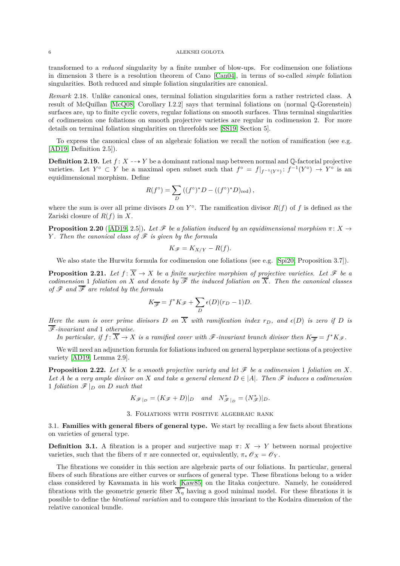transformed to a *reduced* singularity by a finite number of blow-ups. For codimension one foliations in dimension 3 there is a resolution theorem of Cano [\[Can04\]](#page-11-16), in terms of so-called *simple* foliation singularities. Both reduced and simple foliation singularities are canonical.

*Remark* 2.18*.* Unlike canonical ones, terminal foliation singularities form a rather restricted class. A result of McQuillan [\[McQ08,](#page-12-1) Corollary I.2.2] says that terminal foliations on (normal Q-Gorenstein) surfaces are, up to finite cyclic covers, regular foliations on smooth surfaces. Thus terminal singularities of codimension one foliations on smooth projective varieties are regular in codimension 2. For more details on terminal foliation singularities on threefolds see [\[SS19,](#page-12-7) Section 5].

To express the canonical class of an algebraic foliation we recall the notion of ramification (see e.g. [\[AD19,](#page-11-12) Definition 2.5]).

**Definition 2.19.** Let  $f: X \dashrightarrow Y$  be a dominant rational map between normal and Q-factorial projective varieties. Let  $Y^{\circ} \subset Y$  be a maximal open subset such that  $f^{\circ} = f|_{f^{-1}(Y^{\circ})} \colon f^{-1}(Y^{\circ}) \to Y^{\circ}$  is an equidimensional morphism. Define

$$
R(f^{\circ}) = \sum_{D} \left( (f^{\circ})^* D - ((f^{\circ})^* D)_{\text{red}} \right),
$$

where the sum is over all prime divisors  $D$  on  $Y^{\circ}$ . The ramification divisor  $R(f)$  of  $f$  is defined as the Zariski closure of *R*(*f*) in *X*.

<span id="page-5-1"></span>**Proposition 2.20** ([\[AD19,](#page-11-12) 2.5]). Let  $\mathcal{F}$  be a foliation induced by an equidimensional morphism  $\pi \colon X \to Y$ *Y . Then the canonical class of*  $\mathcal F$  *is given by the formula* 

$$
K_{\mathscr{F}} = K_{X/Y} - R(f).
$$

We also state the Hurwitz formula for codimension one foliations (see e.g. [\[Spi20,](#page-12-6) Proposition 3.7]).

<span id="page-5-2"></span>**Proposition 2.21.** *Let*  $f: \overline{X} \to X$  *be a finite surjective morphism of projective varieties. Let*  $\mathcal{F}$  *be a codimension* 1 *foliation on X and denote by*  $\overline{\mathscr{F}}$  *the induced foliation on*  $\overline{X}$ *. Then the canonical classes of*  $\mathscr F$  *and*  $\overline{\mathscr F}$  *are related by the formula* 

$$
K_{\overline{\mathscr{F}}} = f^*K_{\mathscr{F}} + \sum_D \epsilon(D)(r_D - 1)D.
$$

*Here the sum is over prime divisors D* on  $\overline{X}$  with ramification index  $r_D$ , and  $\epsilon(D)$  *is zero if D is* F*-invariant and* 1 *otherwise.*

*In particular, if*  $f: \overline{X} \to X$  *is a ramified cover with*  $\mathscr{F}$ -invariant branch divisor then  $K_{\overline{\mathscr{F}}} = f^*K\mathscr{F}$ .

We will need an adjunction formula for foliations induced on general hyperplane sections of a projective variety [\[AD19,](#page-11-12) Lemma 2.9].

**Proposition 2.22.** Let *X* be a smooth projective variety and let  $\mathcal F$  be a codimension 1 foliation on *X*. *Let A be a very ample divisor on X and take a general element*  $D \in |A|$ *. Then*  $\mathscr F$  *induces a codimension* 1 *foliation*  $\mathcal{F}|_D$  *on D such that* 

 $K_{\mathscr{F}|_{D}} = (K_{\mathscr{F}} + D)|_{D}$  *and*  $N_{\mathscr{F}|_{D}}^{*} = (N_{\mathscr{F}}^{*})|_{D}$ *.* 

### 3. Foliations with positive algebraic rank

<span id="page-5-0"></span>3.1. **Families with general fibers of general type.** We start by recalling a few facts about fibrations on varieties of general type.

**Definition 3.1.** A fibration is a proper and surjective map  $\pi: X \to Y$  between normal projective varieties, such that the fibers of  $\pi$  are connected or, equivalently,  $\pi_* \mathscr{O}_X = \mathscr{O}_Y$ .

The fibrations we consider in this section are algebraic parts of our foliations. In particular, general fibers of such fibrations are either curves or surfaces of general type. These fibrations belong to a wider class considered by Kawamata in his work [\[Kaw85\]](#page-12-14) on the Iitaka conjecture. Namely, he considered fibrations with the geometric generic fiber  $\overline{X_n}$  having a good minimal model. For these fibrations it is possible to define the *birational variation* and to compare this invariant to the Kodaira dimension of the relative canonical bundle.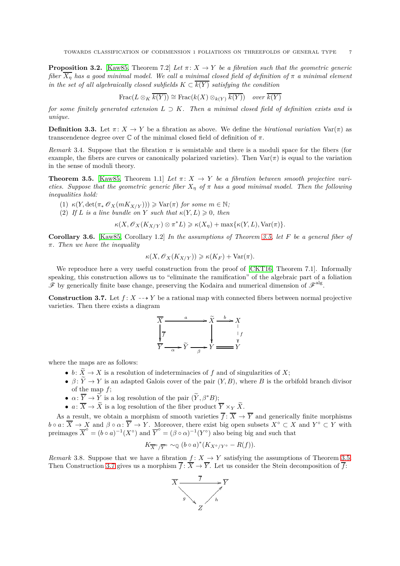**Proposition 3.2.** [\[Kaw85,](#page-12-14) Theorem 7.2] *Let*  $\pi$ :  $X \to Y$  *be a fibration such that the geometric generic fiber*  $\overline{X_n}$  *has a good minimal model. We call a minimal closed field of definition of*  $\pi$  *a minimal element in the set of all algebraically closed subfields*  $K \subset \overline{k(Y)}$  *satisfying the condition* 

$$
\operatorname{Frac}(L \otimes_K \overline{k(Y)}) \cong \operatorname{Frac}(k(X) \otimes_{k(Y)} \overline{k(Y)}) \quad over \overline{k(Y)}
$$

*for some finitely generated extension*  $L \supset K$ *. Then a minimal closed field of definition exists and is unique.*

**Definition 3.3.** Let  $\pi: X \to Y$  be a fibration as above. We define the *birational variation* Var( $\pi$ ) as transcendence degree over C of the minimal closed field of definition of *π*.

<span id="page-6-4"></span>*Remark* 3.4. Suppose that the fibration  $\pi$  is semistable and there is a moduli space for the fibers (for example, the fibers are curves or canonically polarized varieties). Then  $\text{Var}(\pi)$  is equal to the variation in the sense of moduli theory.

<span id="page-6-0"></span>**Theorem 3.5.** [\[Kaw85,](#page-12-14) Theorem 1.1] Let  $\pi: X \to Y$  be a fibration between smooth projective vari*eties. Suppose that the geometric generic fiber*  $X_n$  *of*  $\pi$  *has a good minimal model. Then the following inequalities hold:*

- $\kappa(Y, \det(\pi_* \mathscr{O}_X(mK_{X/Y}))) \geqslant \text{Var}(\pi) \text{ for some } m \in \mathbb{N};$
- (2) *If L is a line bundle on Y such that*  $\kappa(Y, L) \geq 0$ *, then*

 $\kappa(X, \mathscr{O}_X(K_{X/Y}) \otimes \pi^*L) \geq \kappa(X_\eta) + \max{\kappa(Y, L), \text{Var}(\pi)}$ 

<span id="page-6-2"></span>**Corollary 3.6.** [\[Kaw85,](#page-12-14) Corollary 1.2] *In the assumptions of Theorem [3.5,](#page-6-0) let F be a general fiber of π. Then we have the inequality*

$$
\kappa(X, \mathscr{O}_X(K_{X/Y})) \geq \kappa(K_F) + \text{Var}(\pi).
$$

We reproduce here a very useful construction from the proof of [\[CKT16,](#page-11-17) Theorem 7.1]. Informally speaking, this construction allows us to "eliminate the ramification" of the algebraic part of a foliation  $\mathscr F$  by generically finite base change, preserving the Kodaira and numerical dimension of  $\mathscr F^{\text{alg}}$ .

<span id="page-6-1"></span>**Construction 3.7.** Let  $f: X \dashrightarrow Y$  be a rational map with connected fibers between normal projective varieties. Then there exists a diagram



where the maps are as follows:

- $b: \widetilde{X} \to X$  is a resolution of indeterminacies of f and of singularities of X;
- $\beta \colon \widetilde{Y} \to Y$  is an adapted Galois cover of the pair  $(Y, B)$ , where *B* is the orbifold branch divisor of the map *f*;
- $\alpha: \overline{Y} \to \widetilde{Y}$  is a log resolution of the pair  $(\widetilde{Y}, \beta^*B)$ ;
- $a: \overline{X} \to \widetilde{X}$  is a log resolution of the fiber product  $\overline{Y} \times_Y \widetilde{X}$ .

As a result, we obtain a morphism of smooth varieties  $\overline{f}$  :  $\overline{X}$   $\rightarrow$   $\overline{Y}$  and generically finite morphisms  $b \circ a: \overline{X} \to X$  and  $\beta \circ \alpha: \overline{Y} \to Y$ . Moreover, there exist big open subsets  $X^{\circ} \subset X$  and  $Y^{\circ} \subset Y$  with preimages  $\overline{X}^{\circ} = (b \circ a)^{-1}(X^{\circ})$  and  $\overline{Y}^{\circ} = (\beta \circ a)^{-1}(Y^{\circ})$  also being big and such that

$$
K_{\overline{X}^\circ/\overline{Y}^\circ} \sim_{\mathbb{Q}} (b \circ a)^*(K_{X^\circ/Y^\circ} - R(f)).
$$

<span id="page-6-3"></span>*Remark* 3.8. Suppose that we have a fibration  $f: X \to Y$  satisfying the assumptions of Theorem [3.5.](#page-6-0) Then Construction [3.7](#page-6-1) gives us a morphism  $\overline{f}$ :  $\overline{X} \to \overline{Y}$ . Let us consider the Stein decomposition of  $\overline{f}$ :

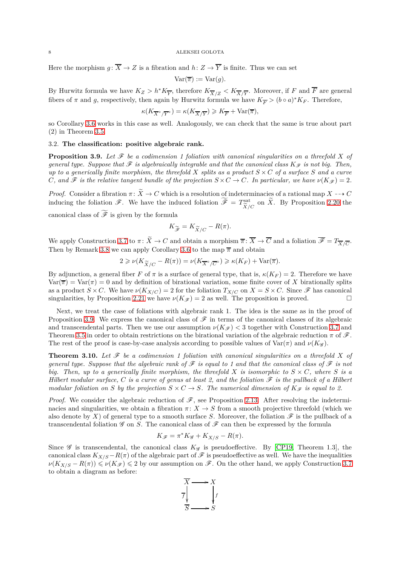Here the morphism  $g: \overline{X} \to Z$  is a fibration and  $h: Z \to \overline{Y}$  is finite. Thus we can set

$$
Var(\overline{\pi}) := Var(g).
$$

By Hurwitz formula we have  $K_Z > h^*K_{\overline{Y}}$ , therefore  $K_{\overline{X}/Z} < K_{\overline{X}/\overline{Y}}$ . Moreover, if F and  $\overline{F}$  are general fibers of  $\pi$  and  $g$ , respectively, then again by Hurwitz formula we have  $K_{\overline{F}} > (b \circ a)^* K_F$ . Therefore,

$$
\kappa(K_{\overline{X}^\circ/\overline{Y}^\circ})=\kappa(K_{\overline{X}/\overline{Y}})\geqslant K_{\overline{F}}+\text{Var}(\overline{\pi}),
$$

so Corollary [3.6](#page-6-2) works in this case as well. Analogously, we can check that the same is true about part (2) in Theorem [3.5.](#page-6-0)

## 3.2. **The classification: positive algebraic rank.**

<span id="page-7-0"></span>**Proposition 3.9.** Let  $\mathcal{F}$  be a codimension 1 foliation with canonical singularities on a threefold X of *general type. Suppose that*  $\mathcal F$  *is algebraically integrable and that the canonical class*  $K_{\mathcal F}$  *is not big. Then, up to a generically finite morphism, the threefold*  $X$  *splits as a product*  $S \times C$  *of a surface*  $S$  *and a curve C*, and  $\mathscr F$  *is the relative tangent bundle of the projection*  $S \times C \to C$ *. In particular, we have*  $\nu(K_{\mathscr F}) = 2$ *.* 

*Proof.* Consider a fibration  $\pi: \widetilde{X} \to C$  which is a resolution of indeterminacies of a rational map  $X \dashrightarrow C$ inducing the foliation  $\mathscr{F}$ . We have the induced foliation  $\widetilde{\mathscr{F}} = T^{\text{sat}}_{\widetilde{X}/\widetilde{X}}$  $\frac{\text{Sat}}{\widetilde{X}/C}$  on *X*. By Proposition [2.20](#page-5-1) the canonical class of  $\widetilde{\mathscr{F}}$  is given by the formula

$$
K_{\widetilde{\mathscr{F}}} = K_{\widetilde{X}/C} - R(\pi).
$$

We apply Construction [3.7](#page-6-1) to  $\pi \colon \widetilde{X} \to C$  and obtain a morphism  $\overline{\pi} \colon \overline{X} \to \overline{C}$  and a foliation  $\overline{\mathscr{F}} = T_{\overline{X}/\overline{C}}$ . Then by Remark [3.8](#page-6-3) we can apply Corollary [3.6](#page-6-2) to the map  $\bar{\pi}$  and obtain

$$
2 \geqslant \nu(K_{\widetilde{X}/C} - R(\pi)) = \nu(K_{\overline{X}^{\circ}/\overline{C}^{\circ}}) \geqslant \kappa(K_F) + \text{Var}(\overline{\pi}).
$$

By adjunction, a general fiber *F* of  $\pi$  is a surface of general type, that is,  $\kappa(K_F) = 2$ . Therefore we have  $Var(\overline{\pi}) = Var(\pi) = 0$  and by definition of birational variation, some finite cover of X birationally splits as a product  $S \times C$ . We have  $\nu(K_{X/C}) = 2$  for the foliation  $T_{X/C}$  on  $X = S \times C$ . Since  $\mathcal{F}$  has canonical singularities, by Proposition 2.21 we have  $\nu(K \mathcal{F}) = 2$  as well. The proposition is proved. singularities, by Proposition [2.21](#page-5-2) we have  $\nu(K_{\mathscr{F}}) = 2$  as well. The proposition is proved.

Next, we treat the case of foliations with algebraic rank 1. The idea is the same as in the proof of Proposition [3.9.](#page-7-0) We express the canonical class of  $\mathscr F$  in terms of the canonical classes of its algebraic and transcendental parts. Then we use our assumption  $\nu(K_{\mathscr{F}})$  < 3 together with Construction [3.7](#page-6-1) and Theorem [3.5](#page-6-0) in order to obtain restrictions on the birational variation of the algebraic reduction  $\pi$  of  $\mathscr{F}$ . The rest of the proof is case-by-case analysis according to possible values of  $\text{Var}(\pi)$  and  $\nu(K\mathscr{G})$ .

<span id="page-7-1"></span>**Theorem 3.10.** Let  $\mathcal F$  be a codimension 1 foliation with canonical singularities on a threefold X of *general type. Suppose that the algebraic rank of*  $\mathscr F$  *is equal to 1 and that the canonical class of*  $\mathscr F$  *is not big. Then, up to a generically finite morphism, the threefold*  $X$  *is isomorphic to*  $S \times C$ *, where*  $S$  *is a Hilbert modular surface,*  $C$  *is a curve of genus at least 2, and the foliation*  $\mathscr F$  *is the pullback of a Hilbert modular foliation on S by the projection*  $S \times C \rightarrow S$ *. The numerical dimension of*  $K_{\mathscr{F}}$  *is equal to 2.* 

*Proof.* We consider the algebraic reduction of  $\mathscr{F}$ , see Proposition [2.13.](#page-4-0) After resolving the indeterminacies and singularities, we obtain a fibration  $\pi: X \to S$  from a smooth projective threefold (which we also denote by X) of general type to a smooth surface *S*. Moreover, the foliation  $\mathscr F$  is the pullback of a transcendental foliation  $\mathscr G$  on *S*. The canonical class of  $\mathscr F$  can then be expressed by the formula

$$
K_{\mathscr{F}} = \pi^* K_{\mathscr{G}} + K_{X/S} - R(\pi).
$$

Since  $\mathscr G$  is transcendental, the canonical class  $K_{\mathscr G}$  is pseudoeffective. By [\[CP19,](#page-11-4) Theorem 1.3], the canonical class  $K_{X/S} - R(\pi)$  of the algebraic part of  $\mathscr F$  is pseudoeffective as well. We have the inequalities  $\nu(K_{X/S} - R(\pi)) \leqslant \nu(K_{\mathscr{F}}) \leqslant 2$  by our assumption on  $\mathscr{F}$ . On the other hand, we apply Construction [3.7](#page-6-1) to obtain a diagram as before:

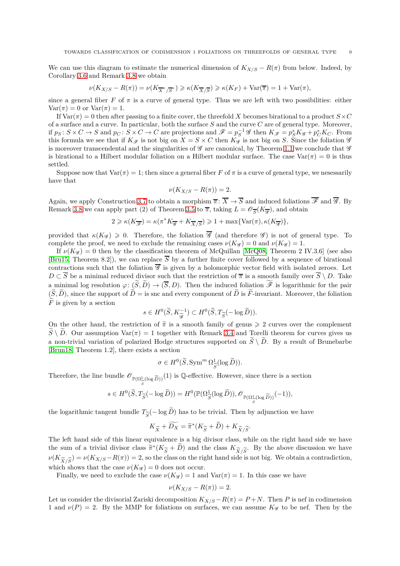We can use this diagram to estimate the numerical dimension of  $K_{X/S} - R(\pi)$  from below. Indeed, by Corollary [3.6](#page-6-2) and Remark [3.8](#page-6-3) we obtain

$$
\nu(K_{X/S} - R(\pi)) = \nu(K_{\overline{X}^{\circ}/\overline{S}^{\circ}}) \geq \kappa(K_{\overline{X}/\overline{S}}) \geq \kappa(K_F) + \text{Var}(\overline{\pi}) = 1 + \text{Var}(\pi),
$$

since a general fiber *F* of  $\pi$  is a curve of general type. Thus we are left with two possibilities: either  $Var(\pi) = 0$  or  $Var(\pi) = 1$ .

If  $\text{Var}(\pi) = 0$  then after passing to a finite cover, the threefold *X* becomes birational to a product  $S \times C$ of a surface and a curve. In particular, both the surface *S* and the curve *C* are of general type. Moreover, if  $p_S: S \times C \to S$  and  $p_C: S \times C \to C$  are projections and  $\mathscr{F} = p_S^{-1} \mathscr{G}$  then  $K_{\mathscr{F}} = p_S^* K_{\mathscr{G}} + p_C^* K_C$ . From this formula we see that if  $K_{\mathscr{F}}$  is not big on  $X = S \times C$  then  $K_{\mathscr{G}}$  is not big on *S*. Since the foliation  $\mathscr{G}$ is moreover transcendental and the singularities of  $\mathscr G$  are canonical, by Theorem [1.1](#page-0-0) we conclude that  $\mathscr G$ is birational to a Hilbert modular foliation on a Hilbert modular surface. The case  $\text{Var}(\pi) = 0$  is thus settled.

Suppose now that  $Var(\pi) = 1$ ; then since a general fiber *F* of  $\pi$  is a curve of general type, we nesessarily have that

$$
\nu(K_{X/S} - R(\pi)) = 2.
$$

Again, we apply Construction [3.7](#page-6-1) to obtain a morphism  $\overline{\pi}$ :  $\overline{X} \to \overline{S}$  and induced foliations  $\overline{\mathscr{F}}$  and  $\overline{\mathscr{G}}$ . By Remark [3.8](#page-6-3) we can apply part (2) of Theorem [3.5](#page-6-0) to  $\overline{\pi}$ , taking  $L = \mathcal{O}_{\overline{S}}(K_{\overline{g}})$ , and obtain

$$
2 \geqslant \kappa(K_{\overline{\mathscr{F}}}) = \kappa(\pi^* K_{\overline{\mathscr{G}}} + K_{\overline{X}/\overline{S}}) \geqslant 1 + \max\{\text{Var}(\pi), \kappa(K_{\overline{\mathscr{G}}})\},
$$

provided that  $\kappa(K_{\mathscr{G}}) \geq 0$ . Therefore, the foliation  $\overline{\mathscr{G}}$  (and therefore  $\mathscr{G}$ ) is not of general type. To complete the proof, we need to exclude the remaining cases  $\nu(K_g) = 0$  and  $\nu(K_g) = 1$ .

If  $\nu(K_g) = 0$  then by the classification theorem of McQuillan [\[McQ08,](#page-12-1) Theorem 2 IV.3.6] (see also [\[Bru15,](#page-11-2) Theorem 8.2]), we can replace  $\overline{S}$  by a further finite cover followed by a sequence of birational contractions such that the foliation  $\overline{\mathscr{G}}$  is given by a holomorphic vector field with isolated zeroes. Let  $D \subset \overline{S}$  be a minimal reduced divisor such that the restriction of  $\overline{\pi}$  is a smooth family over  $\overline{S} \setminus D$ . Take a minimal log resolution  $\varphi: (\widetilde{S}, \widetilde{D}) \to (\overline{S}, D)$ . Then the induced foliation  $\widetilde{\mathscr{F}}$  is logarithmic for the pair  $(\widetilde{S}, \widetilde{D})$ , since the support of  $\widetilde{D} =$  is snc and every component of  $\widetilde{D}$  is  $\widetilde{F}$ -invariant. Moreover, the foliation  $\widetilde{F}$  is given by a section

$$
s \in H^0(\widetilde{S}, K_{\widetilde{\mathscr{G}}}^{-1}) \subset H^0(\widetilde{S}, T_{\widetilde{S}}(-\log \widetilde{D})).
$$

On the other hand, the restriction of  $\tilde{\pi}$  is a smooth family of genus  $\geq 2$  curves over the complement  $S \setminus D$ . Our assumption Var(*π*) = 1 together with Remark [3.4](#page-6-4) and Torelli theorem for curves gives us a non-trivial variation of polarized Hodge structures supported on  $\widetilde{S} \setminus \widetilde{D}$ . By a result of Brunebarbe [\[Brun18,](#page-11-18) Theorem 1.2], there exists a section

$$
\sigma \in H^0(\widetilde{S}, \operatorname{Sym}^m \Omega_{\widetilde{S}}^1(\log \widetilde{D})).
$$

Therefore, the line bundle  $\mathscr{O}_{\mathbb{P}(\Omega^1_{\widetilde{S}}(\log \widetilde{D}))}(1)$  is Q-effective. However, since there is a section

$$
s \in H^{0}(\widetilde{S}, T_{\widetilde{S}}(-\log \widetilde{D})) = H^{0}(\mathbb{P}(\Omega_{\widetilde{S}}^{1}(\log \widetilde{D})), \mathscr{O}_{\mathbb{P}(\Omega_{\widetilde{S}}^{1}(\log \widetilde{D}))}(-1)),
$$

the logarithmic tangent bundle  $T_{\widetilde{S}}(-\log D)$  has to be trivial. Then by adjunction we have

$$
K_{\widetilde{X}} + \widetilde{D_X} = \widetilde{\pi}^*(K_{\widetilde{S}} + \widetilde{D}) + K_{\widetilde{X}/\widetilde{S}}.
$$

The left hand side of this linear equivalence is a big divisor class, while on the right hand side we have the sum of a trivial divisor class  $\tilde{\pi}^*(K_{\tilde{S}} + D)$  and the class  $K_{\tilde{X}/\tilde{S}}$ . By the above discussion we have  $W(K_{\tilde{S}}) = W(K_{\tilde{S}} - D_{\tilde{S}}) = 2$  so the above and the right hand cide is not big. We obtain a con  $\nu(K_{\widetilde{X}/\widetilde{S}}) = \nu(K_{X/S} - R(\pi)) = 2$ , so the class on the right hand side is not big. We obtain a contradiction, which shows that the case  $\nu(K_g) = 0$  does not occur.

Finally, we need to exclude the case  $\nu(K_g) = 1$  and  $\text{Var}(\pi) = 1$ . In this case we have

$$
\nu(K_{X/S} - R(\pi)) = 2.
$$

Let us consider the divisorial Zariski decomposition  $K_{X/S} - R(\pi) = P + N$ . Then *P* is nef in codimension 1 and  $\nu(P) = 2$ . By the MMP for foliations on surfaces, we can assume  $K_g$  to be nef. Then by the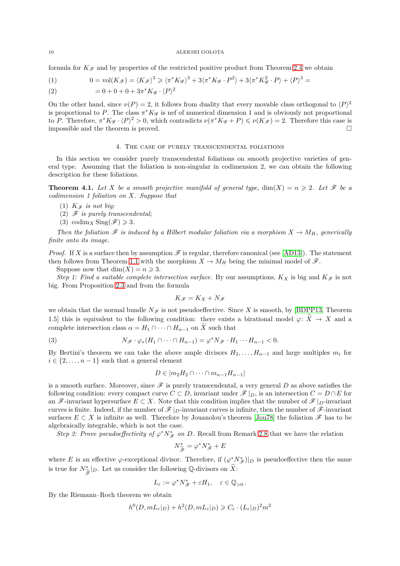formula for  $K_{\mathscr{F}}$  and by properties of the restricted positive product from Theorem [2.4](#page-2-2) we obtain

(1) 
$$
0 = \text{vol}(K_{\mathscr{F}}) = \langle K_{\mathscr{F}} \rangle^{3} \geq \langle \pi^* K_{\mathscr{G}} \rangle^{3} + 3 \langle \pi^* K_{\mathscr{G}} \cdot P^{2} \rangle + 3 \langle \pi^* K_{\mathscr{G}}^{2} \cdot P \rangle + \langle P \rangle^{3} =
$$

(2) 
$$
= 0 + 0 + 0 + 3\pi^* K_{\mathscr{G}} \cdot \langle P \rangle^2
$$

On the other hand, since  $\nu(P) = 2$ , it follows from duality that every movable class orthogonal to  $\langle P \rangle^2$ is proportional to P. The class  $\pi^* K_{\mathscr{G}}$  is nef of numerical dimension 1 and is obviously not proportional to *P*. Therefore,  $\pi^* K_{\mathscr{G}} \cdot \langle P \rangle^2 > 0$ , which contradicts  $\nu(\pi^* K_{\mathscr{G}} + P) \leqslant \nu(K_{\mathscr{F}}) = 2$ . Therefore this case is impossible and the theorem is proved.  $\hfill \square$ 

### 4. The case of purely transcendental foliations

<span id="page-9-0"></span>In this section we consider purely transcendental foliations on smooth projective varieties of general type. Assuming that the foliation is non-singular in codimension 2, we can obtain the following description for these foliations.

<span id="page-9-1"></span>**Theorem 4.1.** Let X be a smooth projective manifold of general type,  $\dim(X) = n \geq 2$ . Let  $\mathcal{F}$  be a *codimension 1 foliation on X. Suppose that*

- (1)  $K_{\mathscr{F}}$  *is not big*;
- (2) F *is purely transcendental;*
- (3) codim<sub>*X*</sub> Sing( $\mathscr{F}$ )  $\geq 3$ .

*Then the foliation*  $\mathscr F$  *is induced by a Hilbert modular foliation via a morphism*  $X \to M_H$ *, generically finite onto its image.*

*Proof.* If *X* is a surface then by assumption  $\mathscr F$  is regular, therefore canonical (see [\[AD13\]](#page-11-10)). The statement then follows from Theorem [1.1](#page-0-0) with the morphism  $X \to M_H$  being the minimal model of  $\mathscr{F}$ .

Suppose now that  $\dim(X) = n \geq 3$ .

*Step 1: Find a suitable complete intersection surface.* By our assumptions,  $K_X$  is big and  $K_{\mathscr{F}}$  is not big. From Proposition [2.3](#page-2-1) and from the formula

$$
K_{\mathscr{F}}=K_X+N_{\mathscr{F}}
$$

we obtain that the normal bundle  $N_{\mathscr{F}}$  is not pseudoeffective. Since *X* is smooth, by [\[BDPP13,](#page-11-13) Theorem 1.5] this is equivalent to the following condition: there exists a birational model  $\varphi \colon \widetilde{X} \to X$  and a complete intersection class  $\alpha = H_1 \cap \cdots \cap H_{n-1}$  on  $\widetilde{X}$  such that

(3) 
$$
N_{\mathscr{F}} \cdot \varphi_* (H_1 \cap \cdots \cap H_{n-1}) = \varphi^* N_{\mathscr{F}} \cdot H_1 \cdots H_{n-1} < 0.
$$

By Bertini's theorem we can take the above ample divisors  $H_2, \ldots, H_{n-1}$  and large multiples  $m_i$  for  $i \in \{2, \ldots, n-1\}$  such that a general element

<span id="page-9-2"></span>
$$
D \in |m_2H_2 \cap \cdots \cap m_{n-1}H_{n-1}|
$$

is a smooth surface. Moreover, since  $\mathscr F$  is purely transcendental, a very general  $D$  as above satisfies the following condition: every compact curve  $C \subset D$ , invariant under  $\mathscr{F}|_{D}$ , is an intersection  $C = D \cap E$  for an  $\mathscr{F}$ -invariant hypersurface  $E \subset X$ . Note that this condition implies that the number of  $\mathscr{F}|_{D}$ -invariant curves is finite. Indeed, if the number of  $\mathscr{F}|_{D}$ -invariant curves is infinite, then the number of  $\mathscr{F}$ -invariant surfaces  $E \subset X$  is infinite as well. Therefore by Jouanolou's theorem [\[Jou78\]](#page-12-15) the foliation  $\mathscr F$  has to be algebraically integrable, which is not the case.

*Step 2: Prove pseudoeffectivity of*  $\varphi^* N_{\mathscr{F}}^*$  *on D.* Recall from Remark [2.8](#page-3-0) that we have the relation

$$
N_{\widetilde{\mathscr{F}}}^* = \varphi^* N_{\mathscr{F}}^* + E
$$

where *E* is an effective  $\varphi$ -exceptional divisor. Therefore, if  $(\varphi^* N_{\mathscr{F}}^*)|_D$  is pseudoeffective then the same is true for  $N^*_{\widetilde{\mathscr{F}}}|_D$ . Let us consider the following Q-divisors on  $\widetilde{X}$ :

$$
L_{\varepsilon} := \varphi^* N_{\mathscr{F}}^* + \varepsilon H_1, \quad \varepsilon \in \mathbb{Q}_{>0} \, .
$$

By the Riemann–Roch theorem we obtain

$$
h^{0}(D, mL_{\varepsilon}|_{D}) + h^{2}(D, mL_{\varepsilon}|_{D}) \geqslant C_{\varepsilon} \cdot (L_{\varepsilon}|_{D})^{2} m^{2}
$$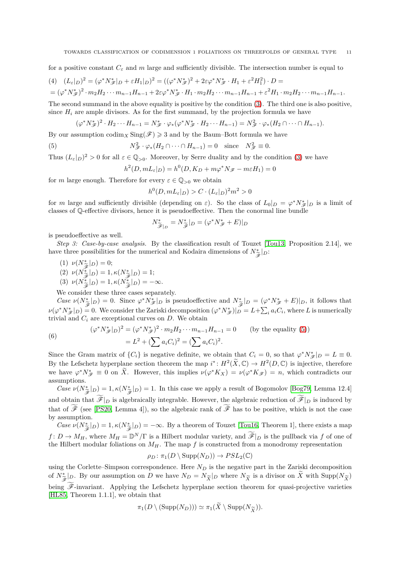for a positive constant  $C_{\varepsilon}$  and  $m$  large and sufficiently divisible. The intersection number is equal to

$$
(4) \quad (L_{\varepsilon}|_D)^2 = (\varphi^* N_{\mathscr{F}}^*|_D + \varepsilon H_1|_D)^2 = ((\varphi^* N_{\mathscr{F}}^*)^2 + 2\varepsilon\varphi^* N_{\mathscr{F}}^* \cdot H_1 + \varepsilon^2 H_1^2) \cdot D =
$$
  
=  $(\varphi^* N_{\mathscr{F}}^*)^2 \cdot m_2 H_2 \cdots m_{n-1} H_{n-1} + 2\varepsilon\varphi^* N_{\mathscr{F}}^* \cdot H_1 \cdot m_2 H_2 \cdots m_{n-1} H_{n-1} + \varepsilon^2 H_1 \cdot m_2 H_2 \cdots m_{n-1} H_{n-1}.$ 

The second summand in the above equality is positive by the condition [\(3\)](#page-9-2). The third one is also positive, since  $H_i$  are ample divisors. As for the first summand, by the projection formula we have

$$
(\varphi^* N_{\mathscr{F}}^*)^2 \cdot H_2 \cdots H_{n-1} = N_{\mathscr{F}}^* \cdot \varphi_*(\varphi^* N_{\mathscr{F}}^* \cdot H_2 \cdots H_{n-1}) = N_{\mathscr{F}}^2 \cdot \varphi_*(H_2 \cap \cdots \cap H_{n-1}).
$$

By our assumption codim<sub>X</sub> Sing( $\mathcal{F}$ )  $\geq$  3 and by the Baum–Bott formula we have

(5) 
$$
N_{\mathscr{F}}^2 \cdot \varphi_*(H_2 \cap \dots \cap H_{n-1}) = 0 \quad \text{since} \quad N_{\mathscr{F}}^2 \equiv 0.
$$

Thus  $(L_{\varepsilon}|_D)^2 > 0$  for all  $\varepsilon \in \mathbb{Q}_{>0}$ . Moreover, by Serre duality and by the condition [\(3\)](#page-9-2) we have

<span id="page-10-0"></span>
$$
h^{2}(D, mL_{\varepsilon}|_{D}) = h^{0}(D, K_{D} + m\varphi^{*} N\mathscr{F} - m\varepsilon H_{1}) = 0
$$

for *m* large enough. Therefore for every  $\varepsilon \in \mathbb{Q}_{>0}$  we obtain

$$
h^0(D, mL_{\varepsilon}|_D) > C \cdot (L_{\varepsilon}|_D)^2 m^2 > 0
$$

for *m* large and sufficiently divisible (depending on  $\varepsilon$ ). So the class of  $L_0|_D = \varphi^* N_{\mathscr{F}}^*|_D$  is a limit of classes of Q-effective divisors, hence it is pseudoeffective. Then the conormal line bundle

$$
N_{\widetilde{\mathscr{F}}|_{D}}^* = N_{\widetilde{\mathscr{F}}}^*|_{D} = (\varphi^* N_{\mathscr{F}}^* + E)|_{D}
$$

is pseudoeffective as well.

*Step 3: Case-by-case analysis.* By the classification result of Touzet [\[Tou13,](#page-12-9) Proposition 2.14], we have three possibilities for the numerical and Kodaira dimensions of  $N^*_{\tilde{\mathscr{F}}}|_D$ :

(1)  $\nu(N^*_{\widetilde{\mathscr{F}}}|_D) = 0;$ <br>
(2)  $\nu(N^*_{\widetilde{\mathscr{F}}}|_D) = 1$ 

(2) 
$$
\nu(N^*_{\widetilde{\mathscr{F}}}|_D) = 1, \kappa(N^*_{\widetilde{\mathscr{F}}}|_D) = 1;
$$

(3)  $v(N_{\mathscr{F}}^*|D) = 1, \kappa(N_{\mathscr{F}}^*|D) = -\infty.$ <br>  $V_{\mathscr{F}}$  consider these three esses sensors

We consider these three cases separately.

*Case*  $\nu(N^*_{\tilde{\sigma}}|_D) = 0$ . Since  $\varphi^* N^*_{\tilde{\mathscr{F}}}|_D$  is pseudoeffective and  $N^*_{\tilde{\sigma}}|_D = (\varphi^* N^*_{\tilde{\mathscr{F}}} + E)|_D$ , it follows that  $\nu(\varphi^* N^*_{\mathscr{F}}|D) = 0$ . We consider the Zariski decomposition  $(\varphi^* N^*_{\mathscr{F}}|D) = L + \sum_i a_i C_i$ , where *L* is numerically trivial and  $C_i$  are exceptional curves on  $D$ . We obtain

(6) 
$$
(\varphi^* N_{\mathscr{F}}^* |_{D})^2 = (\varphi^* N_{\mathscr{F}}^*)^2 \cdot m_2 H_2 \cdots m_{n-1} H_{n-1} = 0 \qquad \text{(by the equality (5))}
$$

$$
= L^2 + (\sum a_i C_i)^2 = (\sum a_i C_i)^2.
$$

Since the Gram matrix of  $\{C_i\}$  is negative definite, we obtain that  $C_i = 0$ , so that  $\varphi^* N_{\mathscr{F}}^* |_{D} = L \equiv 0$ . By the Lefschetz hyperplane section theorem the map  $i^*: H^2(\tilde{X}, \mathbb{C}) \to H^2(D, \mathbb{C})$  is injective, therefore we have  $\varphi^* N^*_{\mathscr{F}} \equiv 0$  on  $\tilde{X}$ . However, this implies  $\nu(\varphi^* K_X) = \nu(\varphi^* K_{\mathscr{F}}) = n$ , which contradicts our assumptions.

*Case*  $\nu(N^*_{\tilde{\sigma}}|_D) = 1$ ,  $\kappa(N^*_{\tilde{\sigma}}|_D) = 1$ . In this case we apply a result of Bogomolov [\[Bog79,](#page-11-19) Lemma 12.4]  $\widetilde{\mathscr{F}}^{(D)}$   $\widetilde{\mathscr{F}}$   $\cdots$ and obtain that  $\widetilde{\mathscr{F}}|_D$  is algebraically integrable. However, the algebraic reduction of  $\widetilde{\mathscr{F}}|_D$  is induced by that of  $\widetilde{\mathscr{F}}$  (see [\[PS20,](#page-12-16) Lemma 4]), so the algebraic rank of  $\widetilde{\mathscr{F}}$  has to be positive, which is not the case by assumption.

*Case*  $\nu(N^*_{\widetilde{\mathscr{F}}}|_D) = 1, \kappa(N^*_{\widetilde{\mathscr{F}}}|_D) = -\infty$ . By a theorem of Touzet [\[Tou16,](#page-12-2) Theorem 1], there exists a map  $f: D \to M_H$ , where  $M_H = \mathbb{D}^N/\Gamma$  is a Hilbert modular variety, and  $\widetilde{\mathscr{F}}|_D$  is the pullback via *f* of one of the Hilbert modular foliations on *MH*. The map *f* is constructed from a monodromy representation

$$
\rho_D \colon \pi_1(D \setminus \operatorname{Supp}(N_D)) \to PSL_2(\mathbb{C})
$$

using the Corlette–Simpson correspondence. Here  $N_D$  is the negative part in the Zariski decomposition of  $N_{\tilde{\mathcal{X}}}^*|_D$ . By our assumption on *D* we have  $N_D = N_{\tilde{\mathcal{X}}}|_D$  where  $N_{\tilde{\mathcal{X}}}$  is a divisor on  $\tilde{X}$  with  $\text{Supp}(N_{\tilde{\mathcal{X}}})$ Fe being  $\widetilde{\mathscr{F}}$ -invariant. Applying the Lefschetz hyperplane section theorem for quasi-projective varieties [\[HL85,](#page-12-17) Theorem 1.1.1], we obtain that

$$
\pi_1(D \setminus (\mathrm{Supp}(N_D))) \simeq \pi_1(X \setminus \mathrm{Supp}(N_{\widetilde{X}})).
$$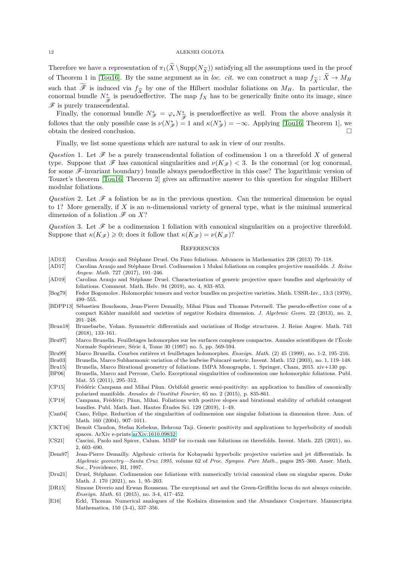Therefore we have a representation of  $\pi_1(X \setminus \text{Supp}(N_{\widetilde{X}}))$  satisfying all the assumptions used in the proof of Theorem 1 in [\[Tou16\]](#page-12-2). By the same argument as in *loc. cit.* we can construct a map  $f_{\widetilde{X}}: X \to M_H$ <br>runk that  $\widetilde{\mathscr{E}}$  is induced rise for his grant file Hilbert madeles foliations on *M*<sub>*M*</sub>. In particular, the such that  $\widetilde{\mathscr{F}}$  is induced via  $f_{\widetilde{X}}$  by one of the Hilbert modular foliations on  $M_H$ . In particular, the conormal bundle  $N_{\infty}^*$  is pseudoeffective. The map  $f_{Y}$  has to be generically finite onto its im conormal bundle  $N^*_{\tilde{\sigma}}$  is pseudoeffective. The map  $f_X$  has to be generically finite onto its image, since  $\mathscr{F}$  is purely transcendental.

Finally, the conormal bundle  $N^*_{\mathscr{F}} = \varphi_* N^*_{\widetilde{\sigma}}$  is pseudoeffective as well. From the above analysis it Finally, the condition of  $\gamma^*$   $\gamma^*$   $\gamma^*$   $\gamma^*$  is postable case is *w*. Then the disordering is to follows that the only possible case is  $\nu(N^*_{\mathscr{F}}) = 1$  and  $\kappa(N^*_{\mathscr{F}}) = -\infty$ . Applying [\[Tou16,](#page-12-2) Theorem 1], w obtain the desired conclusion.  $\Box$ 

Finally, we list some questions which are natural to ask in view of our results.

*Question* 1. Let  $\mathscr F$  be a purely transcendental foliation of codimension 1 on a threefold X of general type. Suppose that  $\mathscr F$  has canonical singularities and  $\nu(K_{\mathscr F})$  < 3. Is the conormal (or log conormal, for some  $\mathscr F$ -invariant boundary) bundle always pseudoeffective in this case? The logarithmic version of Touzet's theorem [\[Tou16,](#page-12-2) Theorem 2] gives an affirmative answer to this question for singular Hilbert modular foliations.

*Question* 2. Let  $\mathscr F$  a foliation be as in the previous question. Can the numerical dimension be equal to 1? More generally, if *X* is an *n*-dimensional variety of general type, what is the minimal numerical dimension of a foliation  $\mathscr F$  on  $X$ ?

*Question* 3. Let  $\mathscr F$  be a codimension 1 foliation with canonical singularities on a projective threefold. Suppose that  $\kappa(K_{\mathscr{F}}) \geq 0$ ; does it follow that  $\kappa(K_{\mathscr{F}}) = \nu(K_{\mathscr{F}})$ ?

## **REFERENCES**

- <span id="page-11-10"></span>[AD13] Carolina Araujo and Stéphane Druel. On Fano foliations. Advances in Mathematics 238 (2013) 70–118.
- <span id="page-11-11"></span>[AD17] Carolina Araujo and Stéphane Druel. Codimension 1 Mukai foliations on complex projective manifolds. *J. Reine Angew. Math.* 727 (2017), 191–246.
- <span id="page-11-12"></span>[AD19] Carolina Araujo and Stéphane Druel. Characterization of generic projective space bundles and algebraicity of foliations. Comment. Math. Helv. 94 (2019), no. 4, 833–853.
- <span id="page-11-19"></span>[Bog79] Fedor Bogomolov. Holomorphic tensors and vector bundles on projective varieties. Math. USSR-Izv., 13:3 (1979), 499–555.
- <span id="page-11-13"></span>[BDPP13] Sébastien Boucksom, Jean-Pierre Demailly, Mihai Păun and Thomas Peternell. The pseudo-effective cone of a compact Kähler manifold and varieties of negative Kodaira dimension. *J. Algebraic Geom.* 22 (2013), no. 2, 201–248.
- <span id="page-11-18"></span>[Brun18] Brunebarbe, Yohan. Symmetric differentials and variations of Hodge structures. J. Reine Angew. Math. 743 (2018), 133–161.
- <span id="page-11-0"></span>[Bru97] Marco Brunella. Feuilletages holomorphes sur les surfaces complexes compactes. Annales scientifiques de l'École Normale Supérieure, Série 4, Tome 30 (1997) no. 5, pp. 569-594.
- <span id="page-11-6"></span>[Bru99] Marco Brunella. Courbes entières et feuilletages holomorphes. *Enseign. Math.* (2) 45 (1999), no. 1-2, 195–216.
- <span id="page-11-1"></span>[Bru03] Brunella, Marco Subharmonic variation of the leafwise Poincaré metric. Invent. Math. 152 (2003), no. 1, 119–148.
- <span id="page-11-2"></span>[Bru15] Brunella, Marco Birational geometry of foliations. IMPA Monographs, 1. Springer, Cham, 2015. xiv+130 pp.
- <span id="page-11-15"></span>[BP06] Brunella, Marco and Perrone, Carlo. Exceptional singularities of codimension one holomorphic foliations. Publ. Mat. 55 (2011), 295–312.
- <span id="page-11-3"></span>[CP15] Frédéric Campana and Mihai Păun. Orbifold generic semi-positivity: an application to families of canonically polarized manifolds. *Annales de l'institut Fourier*, 65 no. 2 (2015), p. 835-861.
- <span id="page-11-4"></span>[CP19] Campana, Frédéric; Păun, Mihai. Foliations with positive slopes and birational stability of orbifold cotangent bundles. Publ. Math. Inst. Hautes Études Sci. 129 (2019), 1–49.
- <span id="page-11-16"></span>[Can04] Cano, Felipe. Reduction of the singularities of codimension one singular foliations in dimension three. Ann. of Math. 160 (2004), 907–1011.
- <span id="page-11-17"></span>[CKT16] Benoît Claudon, Stefan Kebekus, Behrouz Taji. Generic positivity and applications to hyperbolicity of moduli spaces. ArXiv e-prints [arXiv:1610.09832.](http://arxiv.org/abs/1610.09832)
- <span id="page-11-8"></span>[CS21] Cascini, Paolo and Spicer, Calum. MMP for co-rank one foliations on threefolds. Invent. Math. 225 (2021), no. 2, 603–690.
- <span id="page-11-5"></span>[Dem97] Jean-Pierre Demailly. Algebraic criteria for Kobayashi hyperbolic projective varieties and jet differentials. In *Algebraic geometry—Santa Cruz 1995*, volume 62 of *Proc. Sympos. Pure Math.*, pages 285–360. Amer. Math. Soc., Providence, RI, 1997.
- <span id="page-11-9"></span>[Dru21] Druel, Stéphane. Codimension one foliations with numerically trivial canonical class on singular spaces. Duke Math. J. 170 (2021), no. 1, 95–203.
- <span id="page-11-7"></span>[DR15] Simone Diverio and Erwan Rousseau. The exceptional set and the Green-Griffiths locus do not always coincide. *Enseign. Math.* 61 (2015), no. 3-4, 417–452.
- <span id="page-11-14"></span>[E16] Eckl, Thomas. Numerical analogues of the Kodaira dimension and the Abundance Conjecture. Manuscripta Mathematica, 150 (3-4), 337–356.